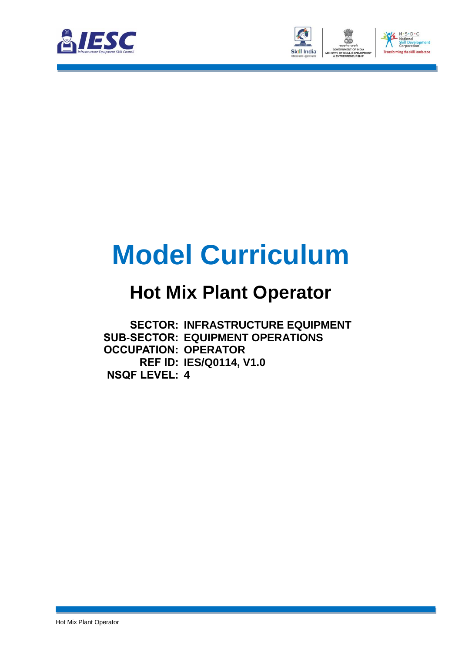



# **Model Curriculum**

### **Hot Mix Plant Operator**

**SECTOR: INFRASTRUCTURE EQUIPMENT SUB-SECTOR: EQUIPMENT OPERATIONS OCCUPATION: OPERATOR REF ID: IES/Q0114, V1.0 NSQF LEVEL: 4**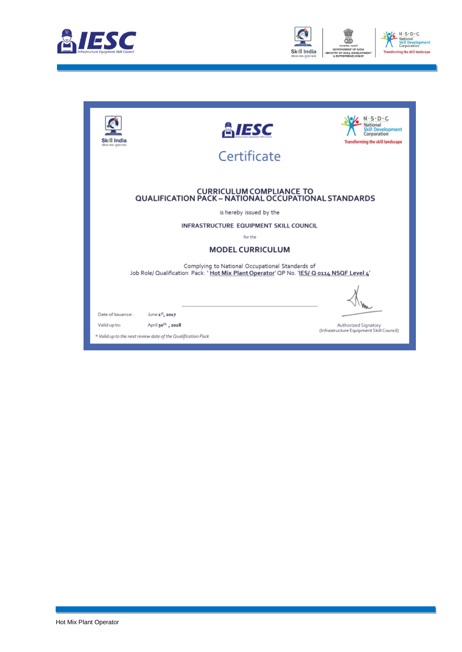



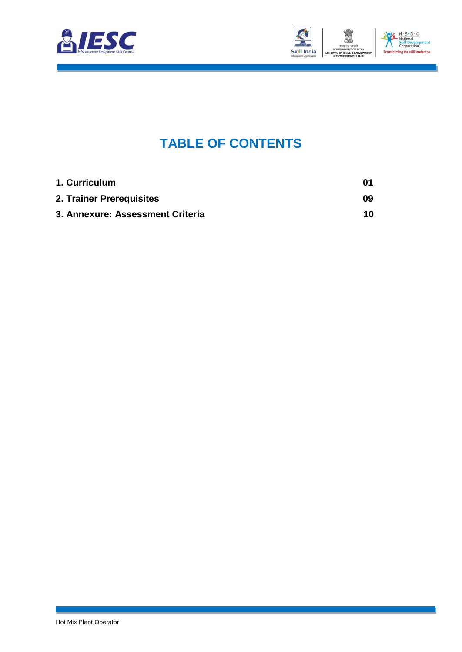



### **TABLE OF CONTENTS**

<span id="page-2-2"></span><span id="page-2-1"></span><span id="page-2-0"></span>

| 1. Curriculum                    | 01 |
|----------------------------------|----|
| 2. Trainer Prerequisites         | 09 |
| 3. Annexure: Assessment Criteria | 10 |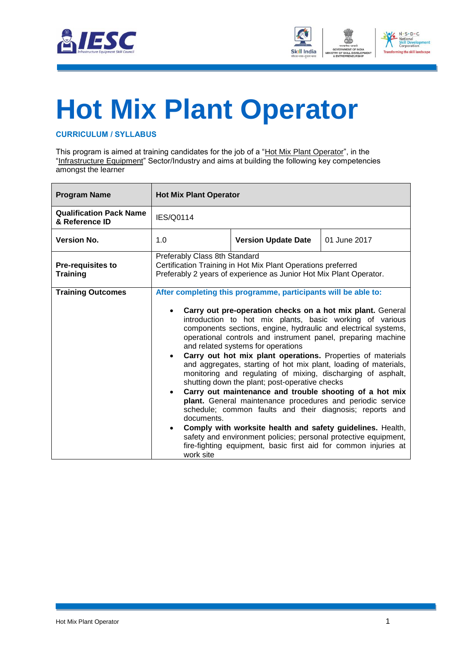



# <span id="page-3-0"></span>**[Hot Mix Plant Operator](#page-2-0)**

#### **CURRICULUM / SYLLABUS**

This program is aimed at training candidates for the job of a "Hot Mix Plant Operator", in the "Infrastructure Equipment" Sector/Industry and aims at building the following key competencies amongst the learner

| <b>Program Name</b>                              | <b>Hot Mix Plant Operator</b>                                                                                                                                       |                                                                                                                                                                                                                                                                                                                                                                                                                                                                                                                                                                                                                                                                                                                                                                                                                                                                                                                                             |              |
|--------------------------------------------------|---------------------------------------------------------------------------------------------------------------------------------------------------------------------|---------------------------------------------------------------------------------------------------------------------------------------------------------------------------------------------------------------------------------------------------------------------------------------------------------------------------------------------------------------------------------------------------------------------------------------------------------------------------------------------------------------------------------------------------------------------------------------------------------------------------------------------------------------------------------------------------------------------------------------------------------------------------------------------------------------------------------------------------------------------------------------------------------------------------------------------|--------------|
| <b>Qualification Pack Name</b><br>& Reference ID | IES/Q0114                                                                                                                                                           |                                                                                                                                                                                                                                                                                                                                                                                                                                                                                                                                                                                                                                                                                                                                                                                                                                                                                                                                             |              |
| <b>Version No.</b>                               | 1.0                                                                                                                                                                 | <b>Version Update Date</b>                                                                                                                                                                                                                                                                                                                                                                                                                                                                                                                                                                                                                                                                                                                                                                                                                                                                                                                  | 01 June 2017 |
| <b>Pre-requisites to</b><br><b>Training</b>      | Preferably Class 8th Standard<br>Certification Training in Hot Mix Plant Operations preferred<br>Preferably 2 years of experience as Junior Hot Mix Plant Operator. |                                                                                                                                                                                                                                                                                                                                                                                                                                                                                                                                                                                                                                                                                                                                                                                                                                                                                                                                             |              |
| <b>Training Outcomes</b>                         | $\bullet$<br>documents.<br>fire-fighting equipment, basic first aid for common injuries at<br>work site                                                             | After completing this programme, participants will be able to:<br>Carry out pre-operation checks on a hot mix plant. General<br>introduction to hot mix plants, basic working of various<br>components sections, engine, hydraulic and electrical systems,<br>operational controls and instrument panel, preparing machine<br>and related systems for operations<br>Carry out hot mix plant operations. Properties of materials<br>and aggregates, starting of hot mix plant, loading of materials,<br>monitoring and regulating of mixing, discharging of asphalt,<br>shutting down the plant; post-operative checks<br>Carry out maintenance and trouble shooting of a hot mix<br>plant. General maintenance procedures and periodic service<br>schedule; common faults and their diagnosis; reports and<br>Comply with worksite health and safety guidelines. Health,<br>safety and environment policies; personal protective equipment, |              |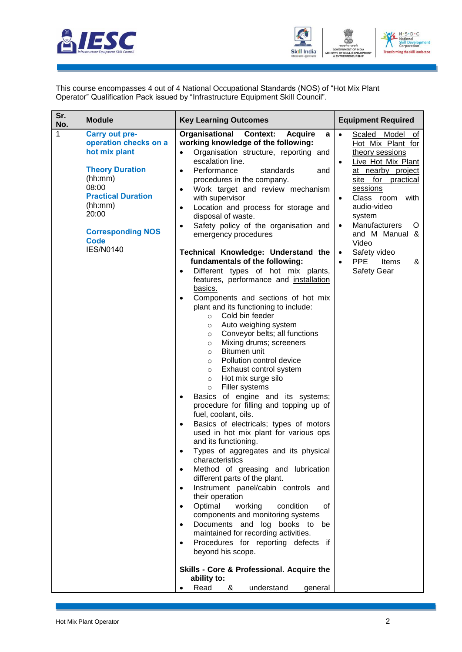



This course encompasses 4 out of 4 National Occupational Standards (NOS) of "Hot Mix Plant **Operator**" Qualification Pack issued by "Infrastructure Equipment Skill Council".

| Sr.<br>No. | <b>Module</b>                                                                                                                                                                                                                 | <b>Key Learning Outcomes</b>                                                                                                                                                                                                                                                                                                                                                                                                                                                                                                                                                                                                                                                                                                                                                                                                                                                                                                                                                                                                                                                                                                                                                                                                                                                                                                                                                                                                                                                                                                                                                                                                                                                                                                                                                                                                                                      | <b>Equipment Required</b>                                                                                                                                                                                                                                                                                                                                                           |
|------------|-------------------------------------------------------------------------------------------------------------------------------------------------------------------------------------------------------------------------------|-------------------------------------------------------------------------------------------------------------------------------------------------------------------------------------------------------------------------------------------------------------------------------------------------------------------------------------------------------------------------------------------------------------------------------------------------------------------------------------------------------------------------------------------------------------------------------------------------------------------------------------------------------------------------------------------------------------------------------------------------------------------------------------------------------------------------------------------------------------------------------------------------------------------------------------------------------------------------------------------------------------------------------------------------------------------------------------------------------------------------------------------------------------------------------------------------------------------------------------------------------------------------------------------------------------------------------------------------------------------------------------------------------------------------------------------------------------------------------------------------------------------------------------------------------------------------------------------------------------------------------------------------------------------------------------------------------------------------------------------------------------------------------------------------------------------------------------------------------------------|-------------------------------------------------------------------------------------------------------------------------------------------------------------------------------------------------------------------------------------------------------------------------------------------------------------------------------------------------------------------------------------|
| 1          | <b>Carry out pre-</b><br>operation checks on a<br>hot mix plant<br><b>Theory Duration</b><br>(hh:mm)<br>08:00<br><b>Practical Duration</b><br>(hh:mm)<br>20:00<br><b>Corresponding NOS</b><br><b>Code</b><br><b>IES/N0140</b> | <b>Organisational Context:</b><br><b>Acquire</b><br>a<br>working knowledge of the following:<br>Organisation structure, reporting and<br>$\bullet$<br>escalation line.<br>Performance<br>standards<br>$\bullet$<br>and<br>procedures in the company.<br>Work target and review mechanism<br>$\bullet$<br>with supervisor<br>Location and process for storage and<br>$\bullet$<br>disposal of waste.<br>Safety policy of the organisation and<br>$\bullet$<br>emergency procedures<br>Technical Knowledge: Understand the<br>fundamentals of the following:<br>Different types of hot mix plants,<br>features, performance and installation<br>basics.<br>Components and sections of hot mix<br>plant and its functioning to include:<br>Cold bin feeder<br>$\circ$<br>Auto weighing system<br>$\circ$<br>Conveyor belts; all functions<br>$\circ$<br>Mixing drums; screeners<br>$\circ$<br>Bitumen unit<br>$\circ$<br>Pollution control device<br>$\circ$<br>Exhaust control system<br>$\circ$<br>Hot mix surge silo<br>$\circ$<br>Filler systems<br>$\circ$<br>Basics of engine and its systems;<br>procedure for filling and topping up of<br>fuel, coolant, oils.<br>Basics of electricals; types of motors<br>used in hot mix plant for various ops<br>and its functioning.<br>Types of aggregates and its physical<br>characteristics<br>Method of greasing and lubrication<br>$\bullet$<br>different parts of the plant.<br>Instrument panel/cabin controls and<br>$\bullet$<br>their operation<br>Optimal<br>working<br>condition<br>οf<br>$\bullet$<br>components and monitoring systems<br>Documents and log books to be<br>$\bullet$<br>maintained for recording activities.<br>Procedures for reporting defects if<br>$\bullet$<br>beyond his scope.<br>Skills - Core & Professional. Acquire the<br>ability to:<br>Read<br>understand<br>&<br>general | Model of<br>Scaled<br>$\bullet$<br>Hot Mix Plant for<br>theory sessions<br>Live Hot Mix Plant<br>$\bullet$<br>at nearby project<br>site for<br>practical<br>sessions<br>Class room<br>with<br>$\bullet$<br>audio-video<br>system<br>Manufacturers<br>O<br>$\bullet$<br>and M Manual &<br>Video<br>Safety video<br>$\bullet$<br><b>PPE</b><br>Items<br>&<br>$\bullet$<br>Safety Gear |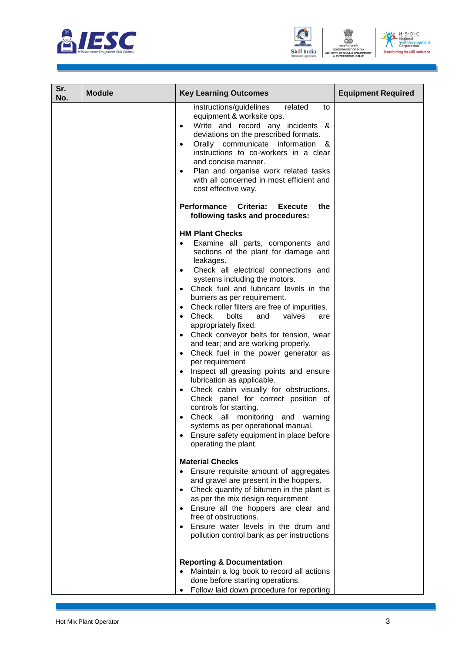





| Sr.<br>No. | <b>Module</b> | <b>Key Learning Outcomes</b>                                                                                                                                                                                                                                                                                                                                                                                                                                                                                                                                                                                                                                                                                                                                                                                                                                                                    | <b>Equipment Required</b> |
|------------|---------------|-------------------------------------------------------------------------------------------------------------------------------------------------------------------------------------------------------------------------------------------------------------------------------------------------------------------------------------------------------------------------------------------------------------------------------------------------------------------------------------------------------------------------------------------------------------------------------------------------------------------------------------------------------------------------------------------------------------------------------------------------------------------------------------------------------------------------------------------------------------------------------------------------|---------------------------|
|            |               | instructions/guidelines<br>related<br>to<br>equipment & worksite ops.<br>Write and record any incidents &<br>deviations on the prescribed formats.<br>Orally communicate information &<br>$\bullet$<br>instructions to co-workers in a clear<br>and concise manner.<br>Plan and organise work related tasks<br>with all concerned in most efficient and<br>cost effective way.                                                                                                                                                                                                                                                                                                                                                                                                                                                                                                                  |                           |
|            |               | Performance Criteria:<br>the<br><b>Execute</b><br>following tasks and procedures:                                                                                                                                                                                                                                                                                                                                                                                                                                                                                                                                                                                                                                                                                                                                                                                                               |                           |
|            |               | <b>HM Plant Checks</b><br>Examine all parts, components and<br>sections of the plant for damage and<br>leakages.<br>Check all electrical connections and<br>systems including the motors.<br>• Check fuel and lubricant levels in the<br>burners as per requirement.<br>• Check roller filters are free of impurities.<br>$\bullet$ Check<br>bolts<br>and<br>valves<br>are<br>appropriately fixed.<br>• Check conveyor belts for tension, wear<br>and tear; and are working properly.<br>• Check fuel in the power generator as<br>per requirement<br>Inspect all greasing points and ensure<br>lubrication as applicable.<br>Check cabin visually for obstructions.<br>$\bullet$<br>Check panel for correct position of<br>controls for starting.<br>Check all monitoring and warning<br>systems as per operational manual.<br>Ensure safety equipment in place before<br>operating the plant. |                           |
|            |               | <b>Material Checks</b><br>Ensure requisite amount of aggregates<br>and gravel are present in the hoppers.<br>Check quantity of bitumen in the plant is<br>as per the mix design requirement<br>Ensure all the hoppers are clear and<br>free of obstructions.                                                                                                                                                                                                                                                                                                                                                                                                                                                                                                                                                                                                                                    |                           |
|            |               | Ensure water levels in the drum and<br>pollution control bank as per instructions                                                                                                                                                                                                                                                                                                                                                                                                                                                                                                                                                                                                                                                                                                                                                                                                               |                           |
|            |               | <b>Reporting &amp; Documentation</b><br>Maintain a log book to record all actions<br>done before starting operations.<br>Follow laid down procedure for reporting                                                                                                                                                                                                                                                                                                                                                                                                                                                                                                                                                                                                                                                                                                                               |                           |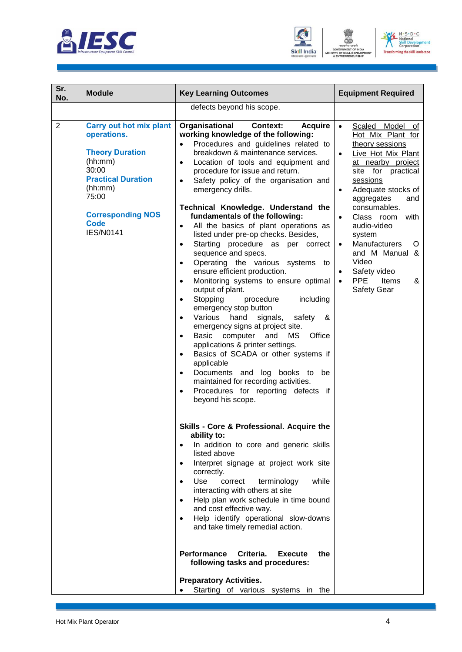





| Sr.<br>No.     | <b>Module</b>                                                                                                                                                                                               | <b>Key Learning Outcomes</b>                                                                                                                                                                                                                                                                                                                                                                                                                                                                                                                                                                                                                                                                                                                                                                                                                                                                                                                                                                                                                                                                                                                                                                                                                 | <b>Equipment Required</b>                                                                                                                                                                                                                                                                                                                                                                                                                       |
|----------------|-------------------------------------------------------------------------------------------------------------------------------------------------------------------------------------------------------------|----------------------------------------------------------------------------------------------------------------------------------------------------------------------------------------------------------------------------------------------------------------------------------------------------------------------------------------------------------------------------------------------------------------------------------------------------------------------------------------------------------------------------------------------------------------------------------------------------------------------------------------------------------------------------------------------------------------------------------------------------------------------------------------------------------------------------------------------------------------------------------------------------------------------------------------------------------------------------------------------------------------------------------------------------------------------------------------------------------------------------------------------------------------------------------------------------------------------------------------------|-------------------------------------------------------------------------------------------------------------------------------------------------------------------------------------------------------------------------------------------------------------------------------------------------------------------------------------------------------------------------------------------------------------------------------------------------|
|                |                                                                                                                                                                                                             | defects beyond his scope.                                                                                                                                                                                                                                                                                                                                                                                                                                                                                                                                                                                                                                                                                                                                                                                                                                                                                                                                                                                                                                                                                                                                                                                                                    |                                                                                                                                                                                                                                                                                                                                                                                                                                                 |
| $\overline{2}$ | <b>Carry out hot mix plant</b><br>operations.<br><b>Theory Duration</b><br>(hh:mm)<br>30:00<br><b>Practical Duration</b><br>(hh:mm)<br>75:00<br><b>Corresponding NOS</b><br><b>Code</b><br><b>IES/N0141</b> | Organisational<br><b>Acquire</b><br><b>Context:</b><br>working knowledge of the following:<br>Procedures and guidelines related to<br>$\bullet$<br>breakdown & maintenance services.<br>Location of tools and equipment and<br>$\bullet$<br>procedure for issue and return.<br>Safety policy of the organisation and<br>$\bullet$<br>emergency drills.<br>Technical Knowledge. Understand the<br>fundamentals of the following:<br>All the basics of plant operations as<br>$\bullet$<br>listed under pre-op checks. Besides,<br>Starting procedure as<br>per correct<br>$\bullet$<br>sequence and specs.<br>Operating the various systems to<br>$\bullet$<br>ensure efficient production.<br>Monitoring systems to ensure optimal<br>output of plant.<br>Stopping<br>procedure<br>including<br>$\bullet$<br>emergency stop button<br>Various hand<br>signals,<br>safety<br>&<br>$\bullet$<br>emergency signs at project site.<br>Basic computer<br>and<br>MS<br>Office<br>$\bullet$<br>applications & printer settings.<br>Basics of SCADA or other systems if<br>applicable<br>Documents and log books to be<br>$\bullet$<br>maintained for recording activities.<br>Procedures for reporting defects if<br>$\bullet$<br>beyond his scope. | Scaled Model of<br>$\bullet$<br>Hot Mix Plant for<br>theory sessions<br>Live Hot Mix Plant<br>$\bullet$<br>at nearby project<br>site for practical<br>sessions<br>Adequate stocks of<br>$\bullet$<br>aggregates<br>and<br>consumables.<br>with<br>Class room<br>$\bullet$<br>audio-video<br>system<br><b>Manufacturers</b><br>O<br>$\bullet$<br>and M Manual &<br>Video<br>Safety video<br>$\bullet$<br><b>PPE</b><br>Items<br>&<br>Safety Gear |
|                |                                                                                                                                                                                                             | Skills - Core & Professional. Acquire the<br>ability to:<br>In addition to core and generic skills<br>$\bullet$<br>listed above<br>Interpret signage at project work site<br>$\bullet$<br>correctly.<br>Use<br>while<br>correct<br>terminology<br>$\bullet$<br>interacting with others at site<br>Help plan work schedule in time bound<br>$\bullet$<br>and cost effective way.<br>Help identify operational slow-downs<br>and take timely remedial action.<br><b>Performance</b><br>Criteria.<br><b>Execute</b><br>the<br>following tasks and procedures:<br><b>Preparatory Activities.</b><br>Starting of various systems in the                                                                                                                                                                                                                                                                                                                                                                                                                                                                                                                                                                                                           |                                                                                                                                                                                                                                                                                                                                                                                                                                                 |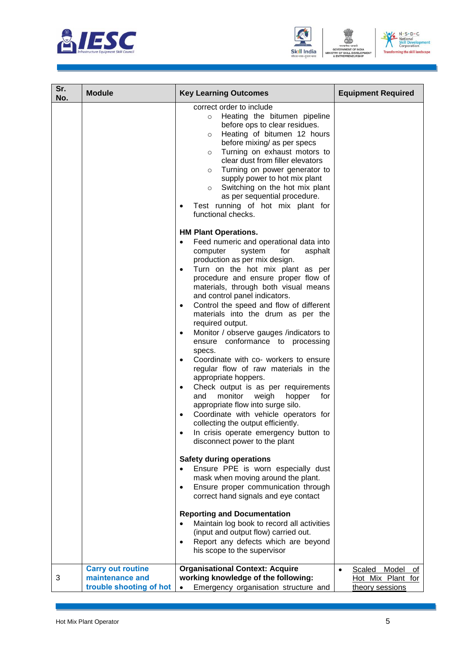





| Sr.<br>No. | <b>Module</b>                                                          | <b>Key Learning Outcomes</b>                                                                                                                                                                                                                                                                                                                                                                                                                                                                                     | <b>Equipment Required</b>                                     |
|------------|------------------------------------------------------------------------|------------------------------------------------------------------------------------------------------------------------------------------------------------------------------------------------------------------------------------------------------------------------------------------------------------------------------------------------------------------------------------------------------------------------------------------------------------------------------------------------------------------|---------------------------------------------------------------|
|            |                                                                        | correct order to include<br>Heating the bitumen pipeline<br>$\circ$<br>before ops to clear residues.<br>Heating of bitumen 12 hours<br>$\circ$<br>before mixing/ as per specs<br>Turning on exhaust motors to<br>$\circ$<br>clear dust from filler elevators<br>Turning on power generator to<br>$\circ$<br>supply power to hot mix plant<br>Switching on the hot mix plant<br>$\circ$<br>as per sequential procedure.<br>Test running of hot mix plant for<br>functional checks.<br><b>HM Plant Operations.</b> |                                                               |
|            |                                                                        | Feed numeric and operational data into<br>computer<br>system<br>for<br>asphalt<br>production as per mix design.<br>Turn on the hot mix plant as per<br>$\bullet$<br>procedure and ensure proper flow of<br>materials, through both visual means                                                                                                                                                                                                                                                                  |                                                               |
|            |                                                                        | and control panel indicators.<br>Control the speed and flow of different<br>$\bullet$<br>materials into the drum as per the<br>required output.<br>Monitor / observe gauges /indicators to<br>$\bullet$<br>ensure conformance to processing                                                                                                                                                                                                                                                                      |                                                               |
|            |                                                                        | specs.<br>Coordinate with co- workers to ensure<br>$\bullet$<br>regular flow of raw materials in the<br>appropriate hoppers.<br>Check output is as per requirements<br>$\bullet$<br>monitor<br>and<br>weigh<br>hopper<br>for<br>appropriate flow into surge silo.<br>Coordinate with vehicle operators for<br>collecting the output efficiently.<br>In crisis operate emergency button to                                                                                                                        |                                                               |
|            |                                                                        | disconnect power to the plant<br><b>Safety during operations</b><br>Ensure PPE is worn especially dust<br>$\bullet$<br>mask when moving around the plant.<br>Ensure proper communication through<br>$\bullet$<br>correct hand signals and eye contact                                                                                                                                                                                                                                                            |                                                               |
|            |                                                                        | <b>Reporting and Documentation</b><br>Maintain log book to record all activities<br>(input and output flow) carried out.<br>Report any defects which are beyond<br>$\bullet$<br>his scope to the supervisor                                                                                                                                                                                                                                                                                                      |                                                               |
| 3          | <b>Carry out routine</b><br>maintenance and<br>trouble shooting of hot | <b>Organisational Context: Acquire</b><br>working knowledge of the following:<br>Emergency organisation structure and                                                                                                                                                                                                                                                                                                                                                                                            | Model<br>Scaled<br>of<br>Hot Mix Plant for<br>theory sessions |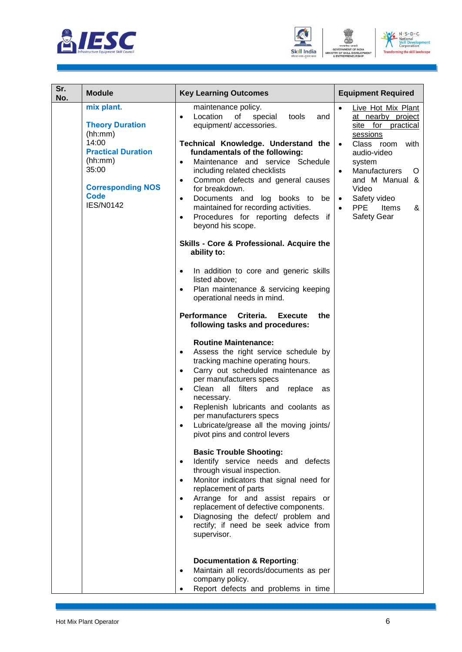





| Sr.<br>No. | <b>Module</b>                                                                                                                                                            | <b>Key Learning Outcomes</b>                                                                                                                                                                                                                                                                                                                                                                                                                                                                                                                                                                                                                                                                                                                                                                                                                                                                                                                                                                                                                                                                                                                                                                                                                                                                                                                                                                                                                                                                                                                                                                                                                                                                                                                                                                                    | <b>Equipment Required</b>                                                                                                                                                                                                                                                                       |
|------------|--------------------------------------------------------------------------------------------------------------------------------------------------------------------------|-----------------------------------------------------------------------------------------------------------------------------------------------------------------------------------------------------------------------------------------------------------------------------------------------------------------------------------------------------------------------------------------------------------------------------------------------------------------------------------------------------------------------------------------------------------------------------------------------------------------------------------------------------------------------------------------------------------------------------------------------------------------------------------------------------------------------------------------------------------------------------------------------------------------------------------------------------------------------------------------------------------------------------------------------------------------------------------------------------------------------------------------------------------------------------------------------------------------------------------------------------------------------------------------------------------------------------------------------------------------------------------------------------------------------------------------------------------------------------------------------------------------------------------------------------------------------------------------------------------------------------------------------------------------------------------------------------------------------------------------------------------------------------------------------------------------|-------------------------------------------------------------------------------------------------------------------------------------------------------------------------------------------------------------------------------------------------------------------------------------------------|
|            | mix plant.<br><b>Theory Duration</b><br>(hh:mm)<br>14:00<br><b>Practical Duration</b><br>(hh:mm)<br>35:00<br><b>Corresponding NOS</b><br><b>Code</b><br><b>IES/N0142</b> | maintenance policy.<br>Location<br>of<br>special<br>tools<br>$\bullet$<br>and<br>equipment/ accessories.<br>Technical Knowledge. Understand the<br>fundamentals of the following:<br>Maintenance and service Schedule<br>$\bullet$<br>including related checklists<br>Common defects and general causes<br>$\bullet$<br>for breakdown.<br>Documents and log books to be<br>$\bullet$<br>maintained for recording activities.<br>Procedures for reporting defects if<br>$\bullet$<br>beyond his scope.<br>Skills - Core & Professional. Acquire the<br>ability to:<br>In addition to core and generic skills<br>$\bullet$<br>listed above:<br>Plan maintenance & servicing keeping<br>$\bullet$<br>operational needs in mind.<br>Performance<br>Criteria.<br><b>Execute</b><br>the<br>following tasks and procedures:<br><b>Routine Maintenance:</b><br>Assess the right service schedule by<br>$\bullet$<br>tracking machine operating hours.<br>Carry out scheduled maintenance as<br>$\bullet$<br>per manufacturers specs<br>Clean all filters and<br>replace<br>$\bullet$<br>as<br>necessary.<br>Replenish lubricants and coolants as<br>$\bullet$<br>per manufacturers specs<br>Lubricate/grease all the moving joints/<br>$\bullet$<br>pivot pins and control levers<br><b>Basic Trouble Shooting:</b><br>Identify service needs and defects<br>$\bullet$<br>through visual inspection.<br>Monitor indicators that signal need for<br>$\bullet$<br>replacement of parts<br>Arrange for and assist repairs or<br>replacement of defective components.<br>Diagnosing the defect/ problem and<br>rectify; if need be seek advice from<br>supervisor.<br><b>Documentation &amp; Reporting:</b><br>Maintain all records/documents as per<br>$\bullet$<br>company policy.<br>Report defects and problems in time | Live Hot Mix Plant<br>at nearby project<br>site for practical<br>sessions<br>Class room<br>with<br>$\bullet$<br>audio-video<br>system<br>Manufacturers<br>$\bullet$<br>O<br>and M Manual &<br>Video<br>Safety video<br>$\bullet$<br><b>PPE</b><br>Items<br>&<br>$\bullet$<br><b>Safety Gear</b> |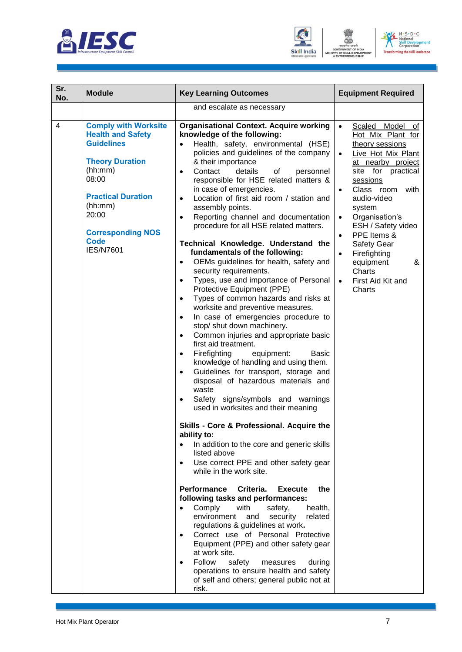





| Sr.<br>No.     | <b>Module</b>                                                                                                                                                                                                                              | <b>Key Learning Outcomes</b>                                                                                                                                                                                                                                                                                                                                                                                                                                                                                                                                                                                                                                                                                                                                                                                                                                                                                                                                                                                                                                                                                                                                                                                                                                                                                                                                                                                                                                                                                                                                                                                                                                                                                                                                                                                                                                                                                                                                                                                                             | <b>Equipment Required</b>                                                                                                                                                                                                                                                                                                                                                                                                                    |
|----------------|--------------------------------------------------------------------------------------------------------------------------------------------------------------------------------------------------------------------------------------------|------------------------------------------------------------------------------------------------------------------------------------------------------------------------------------------------------------------------------------------------------------------------------------------------------------------------------------------------------------------------------------------------------------------------------------------------------------------------------------------------------------------------------------------------------------------------------------------------------------------------------------------------------------------------------------------------------------------------------------------------------------------------------------------------------------------------------------------------------------------------------------------------------------------------------------------------------------------------------------------------------------------------------------------------------------------------------------------------------------------------------------------------------------------------------------------------------------------------------------------------------------------------------------------------------------------------------------------------------------------------------------------------------------------------------------------------------------------------------------------------------------------------------------------------------------------------------------------------------------------------------------------------------------------------------------------------------------------------------------------------------------------------------------------------------------------------------------------------------------------------------------------------------------------------------------------------------------------------------------------------------------------------------------------|----------------------------------------------------------------------------------------------------------------------------------------------------------------------------------------------------------------------------------------------------------------------------------------------------------------------------------------------------------------------------------------------------------------------------------------------|
|                |                                                                                                                                                                                                                                            | and escalate as necessary                                                                                                                                                                                                                                                                                                                                                                                                                                                                                                                                                                                                                                                                                                                                                                                                                                                                                                                                                                                                                                                                                                                                                                                                                                                                                                                                                                                                                                                                                                                                                                                                                                                                                                                                                                                                                                                                                                                                                                                                                |                                                                                                                                                                                                                                                                                                                                                                                                                                              |
| $\overline{4}$ | <b>Comply with Worksite</b><br><b>Health and Safety</b><br><b>Guidelines</b><br><b>Theory Duration</b><br>(hh:mm)<br>08:00<br><b>Practical Duration</b><br>(hh:mm)<br>20:00<br><b>Corresponding NOS</b><br><b>Code</b><br><b>IES/N7601</b> | <b>Organisational Context. Acquire working</b><br>knowledge of the following:<br>Health, safety, environmental (HSE)<br>$\bullet$<br>policies and guidelines of the company<br>& their importance<br>Contact<br>details<br>οf<br>personnel<br>$\bullet$<br>responsible for HSE related matters &<br>in case of emergencies.<br>Location of first aid room / station and<br>$\bullet$<br>assembly points.<br>Reporting channel and documentation<br>$\bullet$<br>procedure for all HSE related matters.<br>Technical Knowledge. Understand the<br>fundamentals of the following:<br>OEMs guidelines for health, safety and<br>$\bullet$<br>security requirements.<br>Types, use and importance of Personal<br>$\bullet$<br>Protective Equipment (PPE)<br>Types of common hazards and risks at<br>$\bullet$<br>worksite and preventive measures.<br>In case of emergencies procedure to<br>$\bullet$<br>stop/ shut down machinery.<br>Common injuries and appropriate basic<br>$\bullet$<br>first aid treatment.<br>Firefighting<br>equipment:<br><b>Basic</b><br>$\bullet$<br>knowledge of handling and using them.<br>Guidelines for transport, storage and<br>$\bullet$<br>disposal of hazardous materials and<br>waste<br>Safety signs/symbols and warnings<br>$\bullet$<br>used in worksites and their meaning<br>Skills - Core & Professional. Acquire the<br>ability to:<br>In addition to the core and generic skills<br>listed above<br>Use correct PPE and other safety gear<br>$\bullet$<br>while in the work site.<br><b>Performance</b><br>Criteria.<br>the<br><b>Execute</b><br>following tasks and performances:<br>Comply<br>with<br>safety,<br>health,<br>$\bullet$<br>environment<br>and<br>security<br>related<br>regulations & guidelines at work.<br>Correct use of Personal Protective<br>$\bullet$<br>Equipment (PPE) and other safety gear<br>at work site.<br>Follow<br>safety<br>measures<br>during<br>$\bullet$<br>operations to ensure health and safety<br>of self and others; general public not at<br>risk. | Model of<br>$\bullet$<br>Scaled<br>Hot Mix Plant for<br>theory sessions<br>Live Hot Mix Plant<br>$\bullet$<br>at nearby project<br>for practical<br>site<br>sessions<br>Class room<br>with<br>$\bullet$<br>audio-video<br>system<br>Organisation's<br>$\bullet$<br>ESH / Safety video<br>PPE Items &<br>$\bullet$<br><b>Safety Gear</b><br>Firefighting<br>$\bullet$<br>equipment<br>&<br>Charts<br>First Aid Kit and<br>$\bullet$<br>Charts |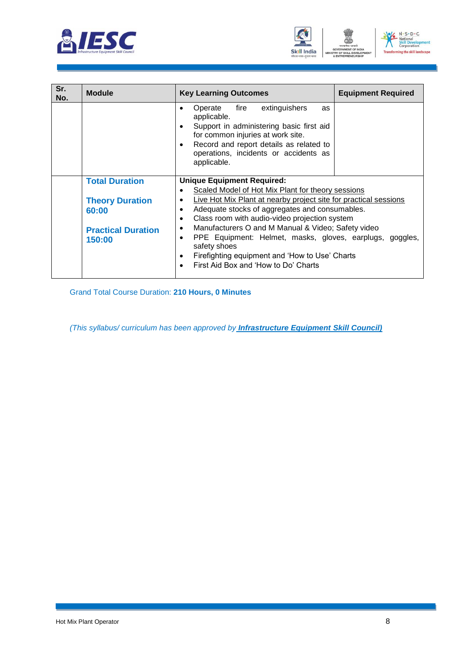





| Sr.<br>No. | <b>Module</b>             | <b>Key Learning Outcomes</b>                                                                                                                                                                                                                                        | <b>Equipment Required</b> |
|------------|---------------------------|---------------------------------------------------------------------------------------------------------------------------------------------------------------------------------------------------------------------------------------------------------------------|---------------------------|
|            |                           | extinguishers<br>Operate<br>fire<br>as<br>applicable.<br>Support in administering basic first aid<br>$\bullet$<br>for common injuries at work site.<br>Record and report details as related to<br>$\bullet$<br>operations, incidents or accidents as<br>applicable. |                           |
|            | <b>Total Duration</b>     | <b>Unique Equipment Required:</b>                                                                                                                                                                                                                                   |                           |
|            |                           | Scaled Model of Hot Mix Plant for theory sessions<br>$\bullet$                                                                                                                                                                                                      |                           |
|            | <b>Theory Duration</b>    | Live Hot Mix Plant at nearby project site for practical sessions<br>$\bullet$                                                                                                                                                                                       |                           |
|            | 60:00                     | Adequate stocks of aggregates and consumables.<br>$\bullet$                                                                                                                                                                                                         |                           |
|            |                           | Class room with audio-video projection system<br>$\bullet$                                                                                                                                                                                                          |                           |
|            | <b>Practical Duration</b> | Manufacturers O and M Manual & Video; Safety video<br>$\bullet$                                                                                                                                                                                                     |                           |
|            | 150:00                    | PPE Equipment: Helmet, masks, gloves, earplugs, goggles,<br>$\bullet$                                                                                                                                                                                               |                           |
|            |                           | safety shoes<br>Firefighting equipment and 'How to Use' Charts<br>$\bullet$                                                                                                                                                                                         |                           |
|            |                           | First Aid Box and 'How to Do' Charts<br>$\bullet$                                                                                                                                                                                                                   |                           |
|            |                           |                                                                                                                                                                                                                                                                     |                           |

Grand Total Course Duration: **210 Hours, 0 Minutes**

*(This syllabus/ curriculum has been approved by Infrastructure Equipment Skill Council)*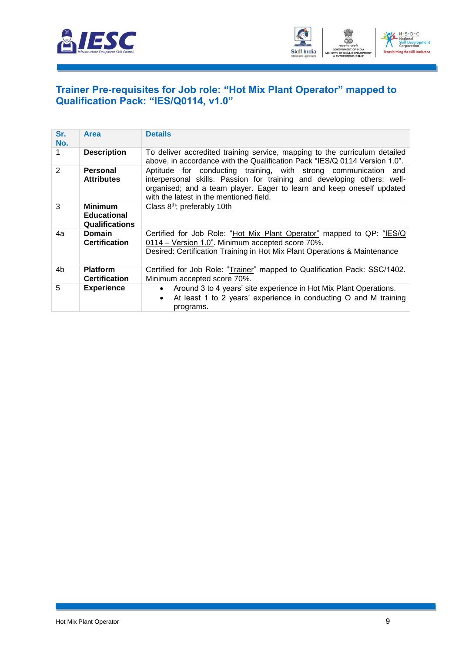



#### <span id="page-11-0"></span>**[Trainer Pre-requisites for Job role: "Hot Mix](#page-2-1) Plant Operator" mapped to [Qualification Pack: "IES/Q0114, v1.0"](#page-2-1)**

| Sr.<br>No.     | <b>Area</b>                                                   | <b>Details</b>                                                                                                                                                                                                                                                 |
|----------------|---------------------------------------------------------------|----------------------------------------------------------------------------------------------------------------------------------------------------------------------------------------------------------------------------------------------------------------|
|                | <b>Description</b>                                            | To deliver accredited training service, mapping to the curriculum detailed<br>above, in accordance with the Qualification Pack "IES/Q 0114 Version 1.0".                                                                                                       |
| $\overline{2}$ | Personal<br><b>Attributes</b>                                 | Aptitude for conducting training, with strong communication and<br>interpersonal skills. Passion for training and developing others; well-<br>organised; and a team player. Eager to learn and keep oneself updated<br>with the latest in the mentioned field. |
| 3              | <b>Minimum</b><br><b>Educational</b><br><b>Qualifications</b> | Class 8 <sup>th</sup> ; preferably 10th                                                                                                                                                                                                                        |
| 4a             | <b>Domain</b><br><b>Certification</b>                         | Certified for Job Role: "Hot Mix Plant Operator" mapped to QP: "IES/Q<br>0114 - Version 1.0". Minimum accepted score 70%.<br>Desired: Certification Training in Hot Mix Plant Operations & Maintenance                                                         |
| 4b             | <b>Platform</b><br><b>Certification</b>                       | Certified for Job Role: "Trainer" mapped to Qualification Pack: SSC/1402.<br>Minimum accepted score 70%.                                                                                                                                                       |
| 5              | <b>Experience</b>                                             | Around 3 to 4 years' site experience in Hot Mix Plant Operations.<br>$\bullet$<br>At least 1 to 2 years' experience in conducting O and M training<br>$\bullet$<br>programs.                                                                                   |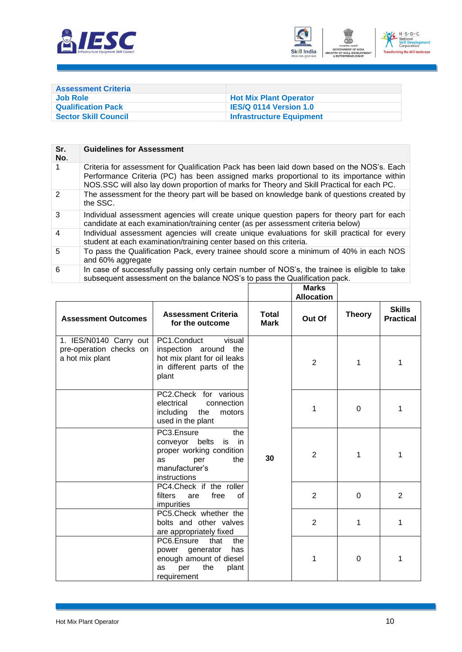



<span id="page-12-0"></span>

| <b>Assessment Criteria</b>  |                                 |
|-----------------------------|---------------------------------|
| <b>Job Role</b>             | <b>Hot Mix Plant Operator</b>   |
| <b>Qualification Pack</b>   | <b>IES/Q 0114 Version 1.0</b>   |
| <b>Sector Skill Council</b> | <b>Infrastructure Equipment</b> |

| Sr.<br>No.     | <b>Guidelines for Assessment</b>                                                                                                                                                                                                                                                    |
|----------------|-------------------------------------------------------------------------------------------------------------------------------------------------------------------------------------------------------------------------------------------------------------------------------------|
| 1              | Criteria for assessment for Qualification Pack has been laid down based on the NOS's. Each<br>Performance Criteria (PC) has been assigned marks proportional to its importance within<br>NOS.SSC will also lay down proportion of marks for Theory and Skill Practical for each PC. |
| $\mathcal{P}$  | The assessment for the theory part will be based on knowledge bank of questions created by<br>the SSC.                                                                                                                                                                              |
| 3              | Individual assessment agencies will create unique question papers for theory part for each<br>candidate at each examination/training center (as per assessment criteria below)                                                                                                      |
| $\overline{4}$ | Individual assessment agencies will create unique evaluations for skill practical for every<br>student at each examination/training center based on this criteria.                                                                                                                  |
| 5              | To pass the Qualification Pack, every trainee should score a minimum of 40% in each NOS<br>and 60% aggregate                                                                                                                                                                        |
| 6              | In case of successfully passing only certain number of NOS's, the trainee is eligible to take<br>subsequent assessment on the balance NOS's to pass the Qualification pack.                                                                                                         |

|                                                                      |                                                                                                                                   |                             | <b>Marks</b><br><b>Allocation</b> |               |                                   |
|----------------------------------------------------------------------|-----------------------------------------------------------------------------------------------------------------------------------|-----------------------------|-----------------------------------|---------------|-----------------------------------|
| <b>Assessment Outcomes</b>                                           | <b>Assessment Criteria</b><br>for the outcome                                                                                     | <b>Total</b><br><b>Mark</b> | Out Of                            | <b>Theory</b> | <b>Skills</b><br><b>Practical</b> |
| 1. IES/N0140 Carry out<br>pre-operation checks on<br>a hot mix plant | PC1.Conduct<br>visual<br>inspection around<br>the<br>hot mix plant for oil leaks<br>in different parts of the<br>plant            | 30                          | $\overline{2}$                    | 1             | 1                                 |
|                                                                      | PC2.Check for various<br>connection<br>electrical<br>the<br>including<br>motors<br>used in the plant                              |                             | 1                                 | 0             | 1                                 |
|                                                                      | PC3.Ensure<br>the<br>conveyor belts<br>in<br>is<br>proper working condition<br>the<br>as<br>per<br>manufacturer's<br>instructions |                             | $\overline{2}$                    | 1             | 1                                 |
|                                                                      | PC4.Check if the roller<br>filters<br>free<br>0f<br>are<br>impurities                                                             |                             | $\overline{2}$                    | $\Omega$      | $\overline{2}$                    |
|                                                                      | PC5.Check whether the<br>bolts and other valves<br>are appropriately fixed                                                        |                             | 2                                 | 1             | 1                                 |
|                                                                      | PC6.Ensure<br>that<br>the<br>power generator<br>has<br>enough amount of diesel<br>the<br>plant<br>per<br>as<br>requirement        |                             | 1                                 | $\Omega$      | 1                                 |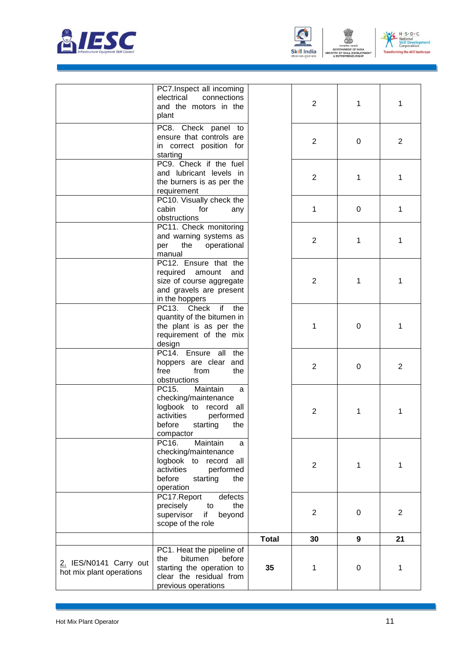



ENT

N - S - D - C<br>- National<br>Skill Development<br>Corporation  $V$ **Transfi** ing the skill landscape

|                                                    | PC7.Inspect all incoming<br>electrical<br>connections<br>and the motors in the<br>plant                                                         |              | $\overline{2}$ | 1 | 1              |
|----------------------------------------------------|-------------------------------------------------------------------------------------------------------------------------------------------------|--------------|----------------|---|----------------|
|                                                    | PC8. Check panel to<br>ensure that controls are<br>in correct position for<br>starting                                                          |              | 2              | 0 | 2              |
|                                                    | PC9. Check if the fuel<br>and lubricant levels in<br>the burners is as per the<br>requirement                                                   |              | $\overline{2}$ | 1 | 1              |
|                                                    | PC10. Visually check the<br>cabin<br>for<br>any<br>obstructions                                                                                 |              | 1              | 0 | 1              |
|                                                    | PC11. Check monitoring<br>and warning systems as<br>the<br>operational<br>per<br>manual                                                         |              | 2              | 1 | 1              |
|                                                    | PC12. Ensure that the<br>required<br>amount<br>and<br>size of course aggregate<br>and gravels are present<br>in the hoppers                     |              | 2              | 1 | 1              |
|                                                    | PC13. Check<br>if<br>the<br>quantity of the bitumen in<br>the plant is as per the<br>requirement of the mix<br>design                           |              | 1              | 0 | 1              |
|                                                    | PC14. Ensure all<br>the<br>hoppers are clear<br>and<br>free<br>from<br>the<br>obstructions                                                      |              | $\overline{2}$ | 0 | 2              |
|                                                    | Maintain<br>PC15.<br>a<br>checking/maintenance<br>logbook to record<br>all<br>activities<br>performed<br>before<br>starting<br>the<br>compactor |              | $\mathbf{2}$   | 1 | 1              |
|                                                    | Maintain<br>PC16.<br>a<br>checking/maintenance<br>logbook to record all<br>activities<br>performed<br>before<br>starting<br>the<br>operation    |              | $\overline{2}$ | 1 | 1              |
|                                                    | PC17.Report<br>defects<br>precisely<br>the<br>to<br>supervisor<br>if<br>beyond<br>scope of the role                                             |              | $\overline{2}$ | 0 | $\overline{2}$ |
|                                                    |                                                                                                                                                 | <b>Total</b> | 30             | 9 | 21             |
| 2. IES/N0141 Carry out<br>hot mix plant operations | PC1. Heat the pipeline of<br>bitumen<br>before<br>the<br>starting the operation to<br>clear the residual from<br>previous operations            | 35           | 1              | 0 | 1              |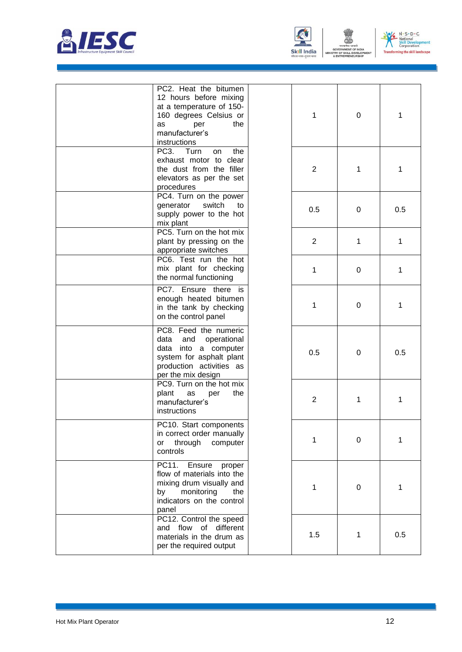



N - S - D - C<br>- National<br>Skill Development<br>Corporation  $V$ **Transf** ing the skill landscape

| PC2. Heat the bitumen<br>12 hours before mixing<br>at a temperature of 150-<br>160 degrees Celsius or<br>per<br>the<br>as<br>manufacturer's<br>instructions | 1   | 0 | 1   |
|-------------------------------------------------------------------------------------------------------------------------------------------------------------|-----|---|-----|
| PC <sub>3</sub> .<br>the<br>Turn<br>on<br>exhaust motor to clear<br>the dust from the filler<br>elevators as per the set<br>procedures                      | 2   | 1 | 1   |
| PC4. Turn on the power<br>switch<br>generator<br>to<br>supply power to the hot<br>mix plant                                                                 | 0.5 | 0 | 0.5 |
| PC5. Turn on the hot mix<br>plant by pressing on the<br>appropriate switches                                                                                | 2   | 1 | 1   |
| PC6. Test run the hot<br>mix plant for checking<br>the normal functioning                                                                                   | 1   | 0 | 1   |
| PC7. Ensure there is<br>enough heated bitumen<br>in the tank by checking<br>on the control panel                                                            | 1   | 0 | 1   |
| PC8. Feed the numeric<br>data and operational<br>data into a computer<br>system for asphalt plant<br>production activities as<br>per the mix design         | 0.5 | 0 | 0.5 |
| PC9. Turn on the hot mix<br>plant<br>the<br>as<br>per<br>manufacturer's<br>instructions                                                                     | 2   | 1 | 1   |
| PC10. Start components<br>in correct order manually<br>through<br>or<br>computer<br>controls                                                                | 1   | 0 | 1   |
| PC11.<br>Ensure<br>proper<br>flow of materials into the<br>mixing drum visually and<br>monitoring<br>by<br>the<br>indicators on the control<br>panel        | 1   | 0 | 1   |
| PC12. Control the speed<br>and flow of different<br>materials in the drum as<br>per the required output                                                     | 1.5 | 1 | 0.5 |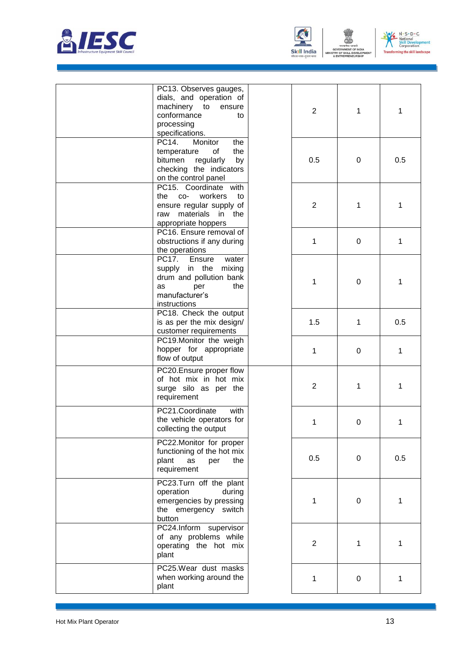



N - S - D - C<br>- National<br>Skill Development<br>Corporation  $V$ **Transf** ing the skill landscape

| PC13. Observes gauges,<br>dials, and operation of<br>machinery to<br>ensure<br>conformance<br>to<br>processing<br>specifications.    | $\overline{2}$ | 1         | 1   |
|--------------------------------------------------------------------------------------------------------------------------------------|----------------|-----------|-----|
| PC14.<br>Monitor<br>the<br>temperature<br>the<br>0f<br>bitumen<br>regularly<br>by<br>checking the indicators<br>on the control panel | 0.5            | 0         | 0.5 |
| PC15. Coordinate with<br>the<br>$CO-$<br>workers<br>to<br>ensure regular supply of<br>raw materials in the<br>appropriate hoppers    | $\overline{2}$ | 1         | 1   |
| PC16. Ensure removal of<br>obstructions if any during<br>the operations                                                              | 1              | 0         | 1   |
| PC17.<br>Ensure<br>water<br>supply in the<br>mixing<br>drum and pollution bank<br>per<br>the<br>as<br>manufacturer's<br>instructions | 1              | $\pmb{0}$ | 1   |
| PC18. Check the output<br>is as per the mix design/<br>customer requirements                                                         | 1.5            | 1         | 0.5 |
| PC19.Monitor the weigh<br>hopper for appropriate<br>flow of output                                                                   | 1              | 0         | 1   |
| PC20. Ensure proper flow<br>of hot mix in hot mix<br>surge silo as per the<br>requirement                                            | $\overline{2}$ | 1         | 1   |
| PC21.Coordinate<br>with<br>the vehicle operators for<br>collecting the output                                                        | 1              | $\pmb{0}$ | 1   |
| PC22.Monitor for proper<br>functioning of the hot mix<br>plant<br>as<br>the<br>per<br>requirement                                    | 0.5            | 0         | 0.5 |
| PC23.Turn off the plant<br>operation<br>during<br>emergencies by pressing<br>the emergency switch<br>button                          | 1              | 0         | 1   |
| PC24.Inform supervisor<br>of any problems while<br>operating the hot mix<br>plant                                                    | 2              | 1         | 1   |
| PC25. Wear dust masks<br>when working around the<br>plant                                                                            | 1              | 0         | 1   |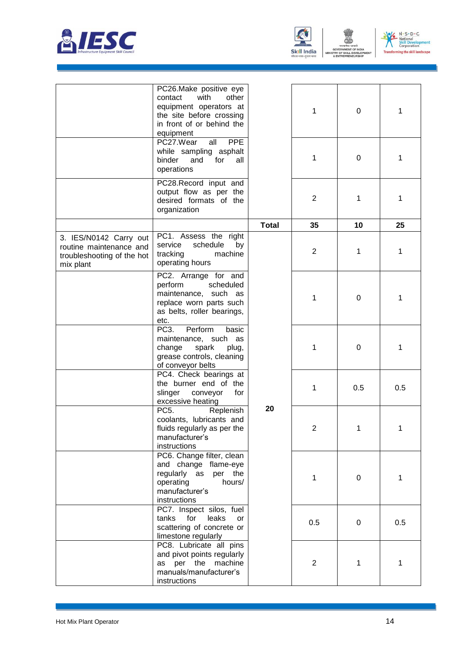





ENT

|                                                                                              | PC26.Make positive eye<br>with<br>contact<br>other<br>equipment operators at<br>the site before crossing<br>in front of or behind the<br>equipment<br>PC27.Wear<br><b>PPE</b><br>all<br>while sampling asphalt<br>binder<br>and<br>for<br>all<br>operations<br>PC28.Record input and<br>output flow as per the<br>desired formats of the<br>organization |              | 1<br>1<br>$\overline{2}$ | 0<br>0<br>1 | 1<br>1<br>1 |
|----------------------------------------------------------------------------------------------|----------------------------------------------------------------------------------------------------------------------------------------------------------------------------------------------------------------------------------------------------------------------------------------------------------------------------------------------------------|--------------|--------------------------|-------------|-------------|
|                                                                                              |                                                                                                                                                                                                                                                                                                                                                          | <b>Total</b> | 35                       | 10          | 25          |
| 3. IES/N0142 Carry out<br>routine maintenance and<br>troubleshooting of the hot<br>mix plant | PC1. Assess the right<br>schedule<br>service<br>by<br>tracking<br>machine<br>operating hours                                                                                                                                                                                                                                                             |              | $\overline{2}$           | 1           | 1           |
|                                                                                              | PC2. Arrange for and<br>perform<br>scheduled<br>maintenance, such as<br>replace worn parts such<br>as belts, roller bearings,<br>etc.                                                                                                                                                                                                                    |              | 1                        | 0           | 1           |
|                                                                                              | PC <sub>3</sub><br>Perform<br>basic<br>maintenance, such as<br>change<br>spark<br>plug,<br>grease controls, cleaning<br>of conveyor belts                                                                                                                                                                                                                |              | 1                        | 0           | 1           |
|                                                                                              | PC4. Check bearings at<br>the burner end of the<br>slinger<br>conveyor<br>for<br>excessive heating                                                                                                                                                                                                                                                       |              | 1                        | 0.5         | 0.5         |
|                                                                                              | PC <sub>5</sub> .<br>Replenish<br>coolants, lubricants and<br>fluids regularly as per the<br>manufacturer's<br>instructions                                                                                                                                                                                                                              | 20           | $\overline{\mathbf{c}}$  |             |             |
|                                                                                              | PC6. Change filter, clean<br>and change flame-eye<br>regularly as per the<br>operating<br>hours/<br>manufacturer's<br>instructions                                                                                                                                                                                                                       |              | 1                        | 0           | 1           |
|                                                                                              | PC7. Inspect silos, fuel<br>tanks<br>for<br>leaks<br>or<br>scattering of concrete or<br>limestone regularly                                                                                                                                                                                                                                              |              | 0.5                      | 0           | 0.5         |
|                                                                                              | PC8. Lubricate all pins<br>and pivot points regularly<br>as per the machine<br>manuals/manufacturer's<br>instructions                                                                                                                                                                                                                                    |              | $\overline{2}$           | 1           | 1           |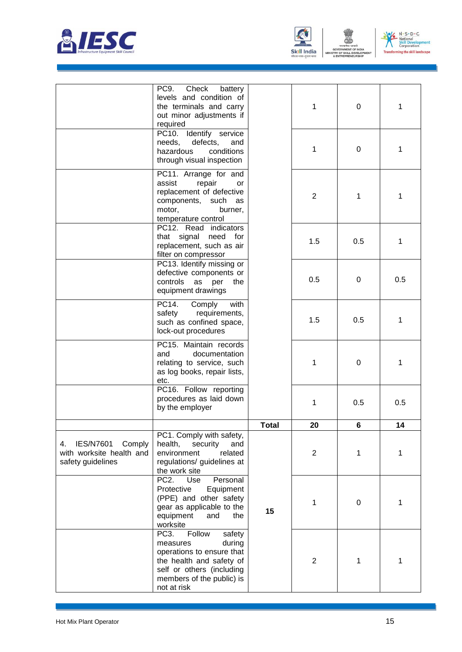



ENT



|                                                                                   | PC9.<br>Check<br>battery<br>levels and condition of<br>the terminals and carry<br>out minor adjustments if<br>required                                                                        |              | 1              | 0   | 1   |
|-----------------------------------------------------------------------------------|-----------------------------------------------------------------------------------------------------------------------------------------------------------------------------------------------|--------------|----------------|-----|-----|
|                                                                                   | PC10. Identify service<br>needs,<br>defects,<br>and<br>conditions<br>hazardous<br>through visual inspection                                                                                   |              | 1              | 0   | 1   |
|                                                                                   | PC11. Arrange for and<br>assist<br>repair<br>or<br>replacement of defective<br>components, such as<br>motor,<br>burner,<br>temperature control                                                |              | $\overline{2}$ | 1   | 1   |
|                                                                                   | PC12. Read indicators<br>that signal need for<br>replacement, such as air<br>filter on compressor                                                                                             |              | 1.5            | 0.5 | 1   |
|                                                                                   | PC13. Identify missing or<br>defective components or<br>controls<br>as per<br>the<br>equipment drawings                                                                                       |              | 0.5            | 0   | 0.5 |
|                                                                                   | PC14.<br>with<br>Comply<br>requirements,<br>safety<br>such as confined space,<br>lock-out procedures                                                                                          |              | 1.5            | 0.5 | 1   |
|                                                                                   | PC15. Maintain records<br>and<br>documentation<br>relating to service, such<br>as log books, repair lists,<br>etc.                                                                            |              | 1              | 0   | 1   |
|                                                                                   | PC16. Follow reporting<br>procedures as laid down<br>by the employer                                                                                                                          |              | 1              | 0.5 | 0.5 |
|                                                                                   |                                                                                                                                                                                               | <b>Total</b> | 20             | 6   | 14  |
| <b>IES/N7601</b><br>Comply<br>4.<br>with worksite health and<br>safety guidelines | PC1. Comply with safety,<br>health,<br>security<br>and<br>environment<br>related<br>regulations/ guidelines at<br>the work site                                                               |              | $\overline{2}$ | 1   | 1   |
|                                                                                   | PC <sub>2</sub> .<br>Use<br>Personal<br>Protective<br>Equipment<br>(PPE) and other safety<br>gear as applicable to the<br>equipment<br>and<br>the<br>worksite                                 | 15           | 1              | 0   | 1   |
|                                                                                   | PC <sub>3</sub> .<br>Follow<br>safety<br>during<br>measures<br>operations to ensure that<br>the health and safety of<br>self or others (including<br>members of the public) is<br>not at risk |              | $\overline{2}$ | 1   | 1   |